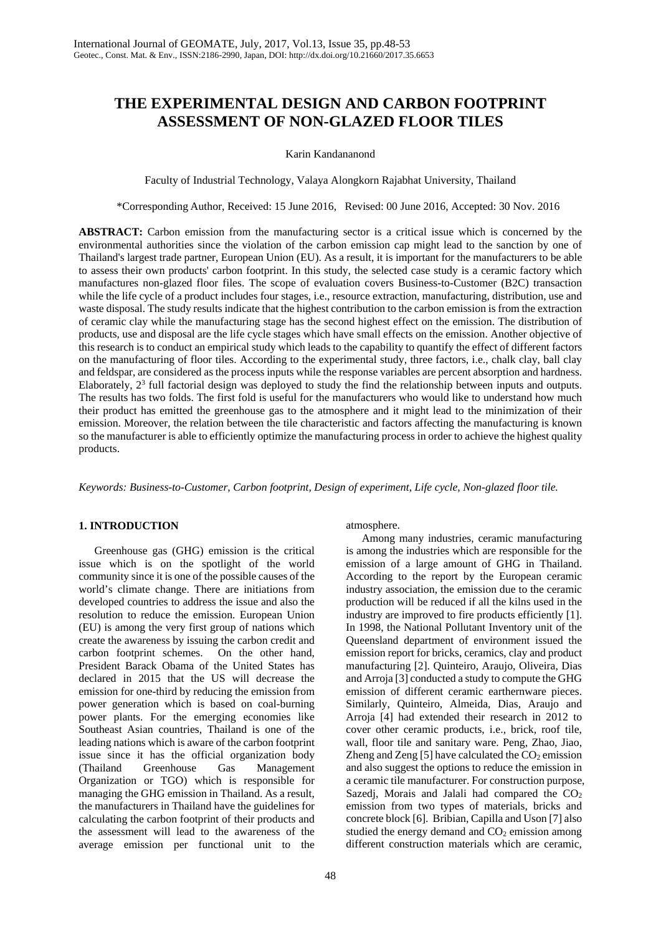# **THE EXPERIMENTAL DESIGN AND CARBON FOOTPRINT ASSESSMENT OF NON-GLAZED FLOOR TILES**

## Karin Kandananond

Faculty of Industrial Technology, Valaya Alongkorn Rajabhat University, Thailand

\*Corresponding Author, Received: 15 June 2016, Revised: 00 June 2016, Accepted: 30 Nov. 2016

**ABSTRACT:** Carbon emission from the manufacturing sector is a critical issue which is concerned by the environmental authorities since the violation of the carbon emission cap might lead to the sanction by one of Thailand's largest trade partner, European Union (EU). As a result, it is important for the manufacturers to be able to assess their own products' carbon footprint. In this study, the selected case study is a ceramic factory which manufactures non-glazed floor files. The scope of evaluation covers Business-to-Customer (B2C) transaction while the life cycle of a product includes four stages, i.e., resource extraction, manufacturing, distribution, use and waste disposal. The study results indicate that the highest contribution to the carbon emission is from the extraction of ceramic clay while the manufacturing stage has the second highest effect on the emission. The distribution of products, use and disposal are the life cycle stages which have small effects on the emission. Another objective of this research is to conduct an empirical study which leads to the capability to quantify the effect of different factors on the manufacturing of floor tiles. According to the experimental study, three factors, i.e., chalk clay, ball clay and feldspar, are considered as the process inputs while the response variables are percent absorption and hardness. Elaborately, 23 full factorial design was deployed to study the find the relationship between inputs and outputs. The results has two folds. The first fold is useful for the manufacturers who would like to understand how much their product has emitted the greenhouse gas to the atmosphere and it might lead to the minimization of their emission. Moreover, the relation between the tile characteristic and factors affecting the manufacturing is known so the manufacturer is able to efficiently optimize the manufacturing process in order to achieve the highest quality products.

*Keywords: Business-to-Customer, Carbon footprint, Design of experiment, Life cycle, Non-glazed floor tile.*

## **1. INTRODUCTION**

Greenhouse gas (GHG) emission is the critical issue which is on the spotlight of the world community since it is one of the possible causes of the world's climate change. There are initiations from developed countries to address the issue and also the resolution to reduce the emission. European Union (EU) is among the very first group of nations which create the awareness by issuing the carbon credit and carbon footprint schemes. On the other hand, President Barack Obama of the United States has declared in 2015 that the US will decrease the emission for one-third by reducing the emission from power generation which is based on coal-burning power plants. For the emerging economies like Southeast Asian countries, Thailand is one of the leading nations which is aware of the carbon footprint issue since it has the official organization body (Thailand Greenhouse Gas Management Organization or TGO) which is responsible for managing the GHG emission in Thailand. As a result, the manufacturers in Thailand have the guidelines for calculating the carbon footprint of their products and the assessment will lead to the awareness of the average emission per functional unit to the atmosphere.

Among many industries, ceramic manufacturing is among the industries which are responsible for the emission of a large amount of GHG in Thailand. According to the report by the European ceramic industry association, the emission due to the ceramic production will be reduced if all the kilns used in the industry are improved to fire products efficiently [1]. In 1998, the National Pollutant Inventory unit of the Queensland department of environment issued the emission report for bricks, ceramics, clay and product manufacturing [2]. Quinteiro, Araujo, Oliveira, Dias and Arroja [3] conducted a study to compute the GHG emission of different ceramic earthernware pieces. Similarly, Quinteiro, Almeida, Dias, Araujo and Arroja [4] had extended their research in 2012 to cover other ceramic products, i.e., brick, roof tile, wall, floor tile and sanitary ware. Peng, Zhao, Jiao, Zheng and Zeng [5] have calculated the  $CO<sub>2</sub>$  emission and also suggest the options to reduce the emission in a ceramic tile manufacturer. For construction purpose, Sazedj, Morais and Jalali had compared the  $CO<sub>2</sub>$ emission from two types of materials, bricks and concrete block [6]. Bribian, Capilla and Uson [7] also studied the energy demand and  $CO<sub>2</sub>$  emission among different construction materials which are ceramic,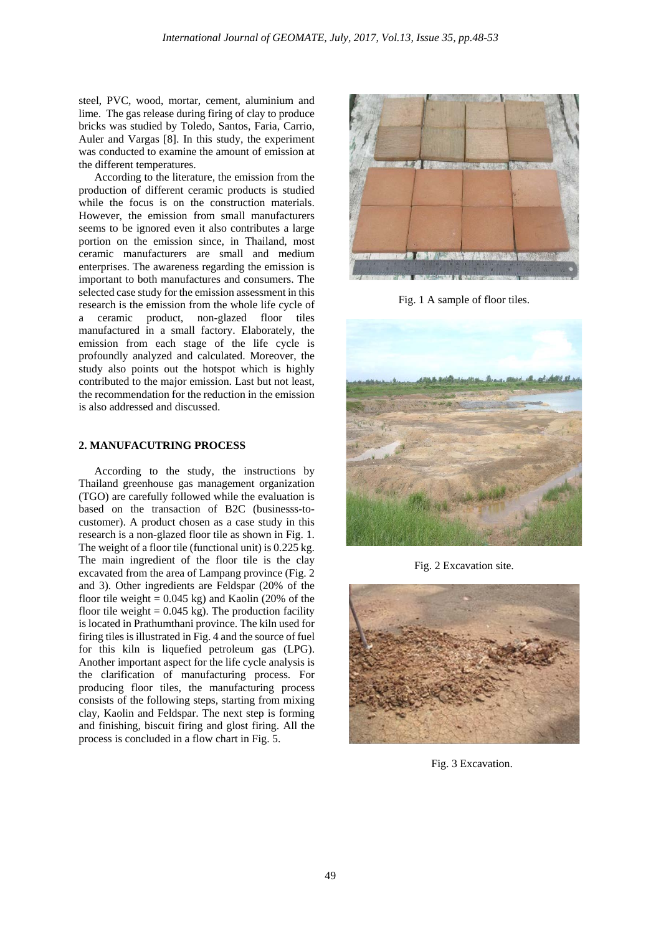steel, PVC, wood, mortar, cement, aluminium and lime. The gas release during firing of clay to produce bricks was studied by Toledo, Santos, Faria, Carrio, Auler and Vargas [8]. In this study, the experiment was conducted to examine the amount of emission at the different temperatures.

According to the literature, the emission from the production of different ceramic products is studied while the focus is on the construction materials. However, the emission from small manufacturers seems to be ignored even it also contributes a large portion on the emission since, in Thailand, most ceramic manufacturers are small and medium enterprises. The awareness regarding the emission is important to both manufactures and consumers. The selected case study for the emission assessment in this research is the emission from the whole life cycle of a ceramic product, non-glazed floor tiles manufactured in a small factory. Elaborately, the emission from each stage of the life cycle is profoundly analyzed and calculated. Moreover, the study also points out the hotspot which is highly contributed to the major emission. Last but not least, the recommendation for the reduction in the emission is also addressed and discussed.

## **2. MANUFACUTRING PROCESS**

According to the study, the instructions by Thailand greenhouse gas management organization (TGO) are carefully followed while the evaluation is based on the transaction of B2C (businesss-tocustomer). A product chosen as a case study in this research is a non-glazed floor tile as shown in Fig. 1. The weight of a floor tile (functional unit) is 0.225 kg. The main ingredient of the floor tile is the clay excavated from the area of Lampang province (Fig. 2 and 3). Other ingredients are Feldspar (20% of the floor tile weight =  $0.045$  kg) and Kaolin (20% of the floor tile weight  $= 0.045$  kg). The production facility is located in Prathumthani province. The kiln used for firing tiles is illustrated in Fig. 4 and the source of fuel for this kiln is liquefied petroleum gas (LPG). Another important aspect for the life cycle analysis is the clarification of manufacturing process. For producing floor tiles, the manufacturing process consists of the following steps, starting from mixing clay, Kaolin and Feldspar. The next step is forming and finishing, biscuit firing and glost firing. All the process is concluded in a flow chart in Fig. 5.



Fig. 1 A sample of floor tiles.



Fig. 2 Excavation site.



Fig. 3 Excavation.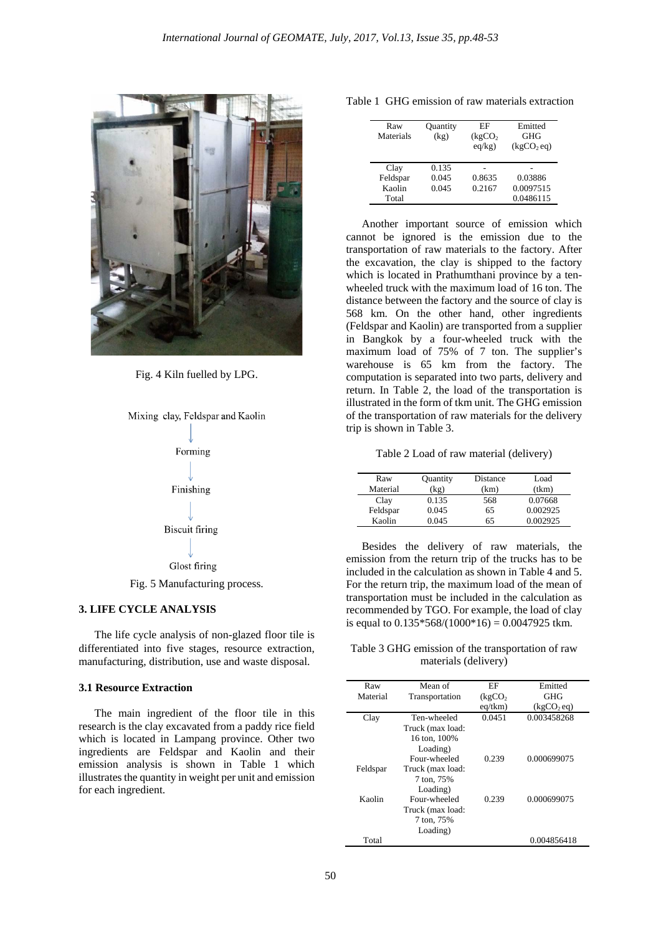

Fig. 4 Kiln fuelled by LPG.



## **3. LIFE CYCLE ANALYSIS**

The life cycle analysis of non-glazed floor tile is differentiated into five stages, resource extraction, manufacturing, distribution, use and waste disposal.

## **3.1 Resource Extraction**

The main ingredient of the floor tile in this research is the clay excavated from a paddy rice field which is located in Lampang province. Other two ingredients are Feldspar and Kaolin and their emission analysis is shown in Table 1 which illustrates the quantity in weight per unit and emission for each ingredient.

|  |  |  |  | Table 1 GHG emission of raw materials extraction |  |
|--|--|--|--|--------------------------------------------------|--|
|--|--|--|--|--------------------------------------------------|--|

| Raw<br>Materials | Quantity<br>(kg) | FF<br>(kgCO <sub>2</sub> )<br>eq/kg) | Emitted<br><b>GHG</b><br>(kgCO <sub>2</sub> eq) |
|------------------|------------------|--------------------------------------|-------------------------------------------------|
| Clay             | 0.135            |                                      |                                                 |
| Feldspar         | 0.045            | 0.8635                               | 0.03886                                         |
| Kaolin           | 0.045            | 0.2167                               | 0.0097515                                       |
| Total            |                  |                                      | 0.0486115                                       |

Another important source of emission which cannot be ignored is the emission due to the transportation of raw materials to the factory. After the excavation, the clay is shipped to the factory which is located in Prathumthani province by a tenwheeled truck with the maximum load of 16 ton. The distance between the factory and the source of clay is 568 km. On the other hand, other ingredients (Feldspar and Kaolin) are transported from a supplier in Bangkok by a four-wheeled truck with the maximum load of 75% of 7 ton. The supplier's warehouse is 65 km from the factory. The computation is separated into two parts, delivery and return. In Table 2, the load of the transportation is illustrated in the form of tkm unit. The GHG emission of the transportation of raw materials for the delivery trip is shown in Table 3.

Table 2 Load of raw material (delivery)

| Raw      | Quantity | Distance | Load     |
|----------|----------|----------|----------|
| Material | (kg)     | (km)     | (tkm)    |
| Clay     | 0.135    | 568      | 0.07668  |
| Feldspar | 0.045    | 65       | 0.002925 |
| Kaolin   | 0.045    | 65       | 0.002925 |

Besides the delivery of raw materials, the emission from the return trip of the trucks has to be included in the calculation as shown in Table 4 and 5. For the return trip, the maximum load of the mean of transportation must be included in the calculation as recommended by TGO. For example, the load of clay is equal to  $0.135*568/(1000*16) = 0.0047925$  tkm.

Table 3 GHG emission of the transportation of raw materials (delivery)

| Raw      | Mean of          | EF                   | Emitted                |
|----------|------------------|----------------------|------------------------|
| Material | Transportation   | (kgCO <sub>2</sub> ) | GHG                    |
|          |                  | $eq$ /tkm $)$        | (kgCO <sub>2</sub> eq) |
| Clay     | Ten-wheeled      | 0.0451               | 0.003458268            |
|          | Truck (max load: |                      |                        |
|          | 16 ton, 100%     |                      |                        |
|          | Loading)         |                      |                        |
|          | Four-wheeled     | 0.239                | 0.000699075            |
| Feldspar | Truck (max load: |                      |                        |
|          | 7 ton, 75%       |                      |                        |
|          | Loading)         |                      |                        |
| Kaolin   | Four-wheeled     | 0.239                | 0.000699075            |
|          | Truck (max load: |                      |                        |
|          | 7 ton, 75%       |                      |                        |
|          | Loading)         |                      |                        |
| Total    |                  |                      | 0.004856418            |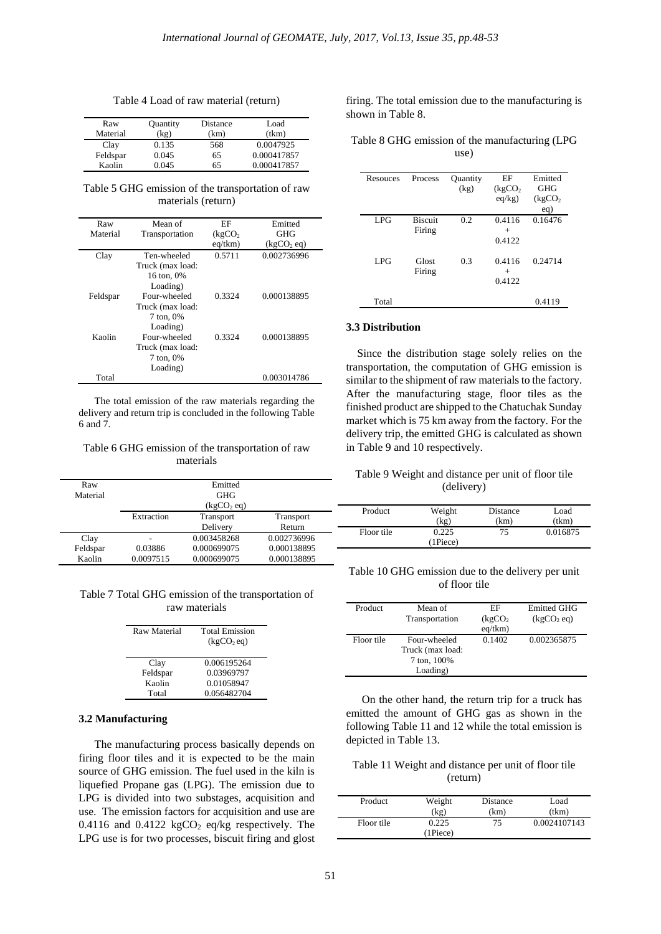| Table 4 Load of raw material (return) |  |  |  |
|---------------------------------------|--|--|--|
|---------------------------------------|--|--|--|

| Raw      | Quantity | Distance | Load        |
|----------|----------|----------|-------------|
| Material | (kg)     | (km)     | (tkm)       |
| Clay     | 0.135    | 568      | 0.0047925   |
| Feldspar | 0.045    | 65       | 0.000417857 |
| Kaolin   | 9.045    | 65       | 0.000417857 |

Table 5 GHG emission of the transportation of raw materials (return)

| Raw      | Mean of          | ЕF                   | Emitted                |
|----------|------------------|----------------------|------------------------|
| Material | Transportation   | (kgCO <sub>2</sub> ) | GHG                    |
|          |                  | $eq$ /tkm $)$        | (kgCO <sub>2</sub> eq) |
| Clay     | Ten-wheeled      | 0.5711               | 0.002736996            |
|          | Truck (max load: |                      |                        |
|          | 16 ton, 0%       |                      |                        |
|          | Loading)         |                      |                        |
| Feldspar | Four-wheeled     | 0.3324               | 0.000138895            |
|          | Truck (max load: |                      |                        |
|          | 7 ton, 0%        |                      |                        |
|          | Loading)         |                      |                        |
| Kaolin   | Four-wheeled     | 0.3324               | 0.000138895            |
|          | Truck (max load: |                      |                        |
|          | 7 ton, 0%        |                      |                        |
|          | Loading)         |                      |                        |
| Total    |                  |                      | 0.003014786            |

The total emission of the raw materials regarding the delivery and return trip is concluded in the following Table 6 and 7.

#### Table 6 GHG emission of the transportation of raw materials

Emitted

|    | shown in Table 8. |  |
|----|-------------------|--|
| d  |                   |  |
| n) | $-11$ $-27$       |  |

Table 8 GHG emission of the manufacturing (LPG use)

firing. The total emission due to the manufacturing is

| Resouces | <b>Process</b> | Quantity | EF                   | Emitted              |
|----------|----------------|----------|----------------------|----------------------|
|          |                | (kg)     | (kgCO <sub>2</sub> ) | GHG                  |
|          |                |          |                      |                      |
|          |                |          | eq/kg)               | (kgCO <sub>2</sub> ) |
|          |                |          |                      | eq)                  |
| LPG      | <b>Biscuit</b> | 0.2      | 0.4116               | 0.16476              |
|          | Firing         |          | $^{+}$               |                      |
|          |                |          | 0.4122               |                      |
|          |                |          |                      |                      |
| LPG      | Glost          | 0.3      | 0.4116               | 0.24714              |
|          |                |          |                      |                      |
|          | Firing         |          | $^{+}$               |                      |
|          |                |          | 0.4122               |                      |
|          |                |          |                      |                      |
| Total    |                |          |                      | 0.4119               |

#### **3.3 Distribution**

Since the distribution stage solely relies on the transportation, the computation of GHG emission is similar to the shipment of raw materials to the factory. After the manufacturing stage, floor tiles as the finished product are shipped to the Chatuchak Sunday market which is 75 km away from the factory. For the delivery trip, the emitted GHG is calculated as shown in Table 9 and 10 respectively.

Table 9 Weight and distance per unit of floor tile (delivery)

| Material |                          | GHG                    |             |            |          | . .      |          |
|----------|--------------------------|------------------------|-------------|------------|----------|----------|----------|
|          |                          | (kgCO <sub>2</sub> eq) |             | Product    | Weight   | Distance | Load     |
|          | Extraction               | Transport              | Transport   |            | (kg)     | (km)     | (tkm)    |
|          |                          | Delivery               | Return      | Floor tile | 0.225    | 75       | 0.016875 |
| Clay     | $\overline{\phantom{a}}$ | 0.003458268            | 0.002736996 |            | (1Piece) |          |          |
| Feldspar | 0.03886                  | 0.000699075            | 0.000138895 |            |          |          |          |
| Kaolin   | 0.0097515                | 0.000699075            | 0.000138895 |            |          |          |          |

Table 10 GHG emission due to the delivery per unit of floor tile

| Product    | Mean of          | ЕF                   | <b>Emitted GHG</b>     |
|------------|------------------|----------------------|------------------------|
|            | Transportation   | (kgCO <sub>2</sub> ) | (kgCO <sub>2</sub> eq) |
|            |                  | $eq$ /tkm $)$        |                        |
| Floor tile | Four-wheeled     | 0.1402               | 0.002365875            |
|            | Truck (max load: |                      |                        |
|            | 7 ton, 100%      |                      |                        |
|            | Loading)         |                      |                        |

On the other hand, the return trip for a truck has emitted the amount of GHG gas as shown in the following Table 11 and 12 while the total emission is depicted in Table 13.

## Table 11 Weight and distance per unit of floor tile (return)

| Product    | Weight         | Distance | Load         |
|------------|----------------|----------|--------------|
|            | (kg)           | (km)     | (tkm)        |
| Floor tile | 0.225          | 75       | 0.0024107143 |
|            | $(1$ Piece $)$ |          |              |

| Table 7 Total GHG emission of the transportation of |  |
|-----------------------------------------------------|--|
| raw materials                                       |  |

| Raw Material | <b>Total Emission</b>  |
|--------------|------------------------|
|              | (kgCO <sub>2</sub> eq) |
|              |                        |
| Clay         | 0.006195264            |
| Feldspar     | 0.03969797             |
| Kaolin       | 0.01058947             |
| Total        | 0.056482704            |

#### **3.2 Manufacturing**

Raw

The manufacturing process basically depends on firing floor tiles and it is expected to be the main source of GHG emission. The fuel used in the kiln is liquefied Propane gas (LPG). The emission due to LPG is divided into two substages, acquisition and use. The emission factors for acquisition and use are 0.4116 and 0.4122 kg $CO<sub>2</sub>$  eq/kg respectively. The LPG use is for two processes, biscuit firing and glost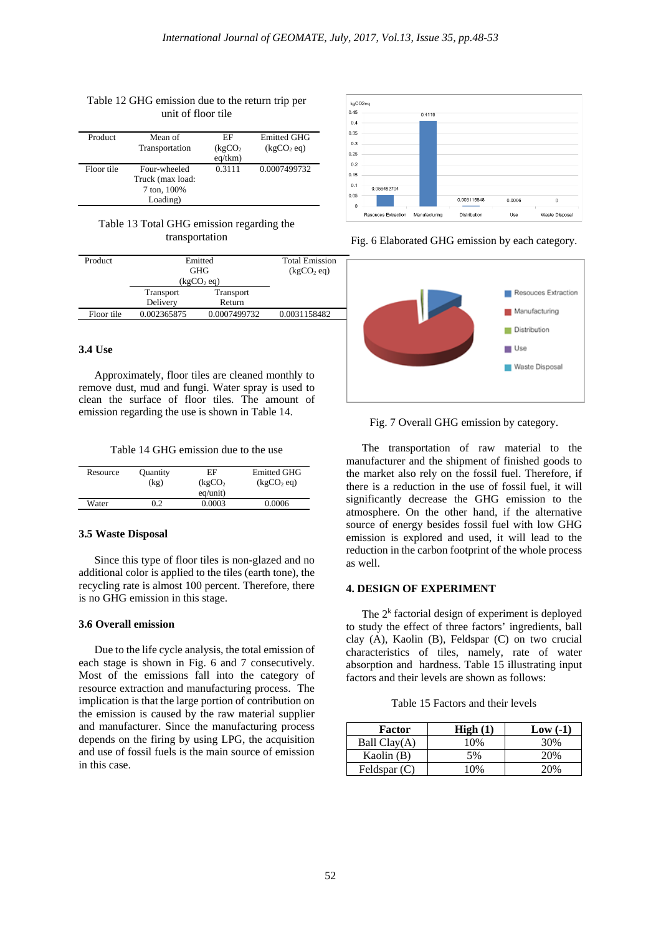| Product    | Mean of<br>Transportation | ЕF<br>(kgCO <sub>2</sub> )<br>$eq$ /tkm $)$ | Emitted GHG<br>(kgCO <sub>2</sub> eq) |
|------------|---------------------------|---------------------------------------------|---------------------------------------|
| Floor tile | Four-wheeled              | 0.3111                                      | 0.0007499732                          |
|            | Truck (max load:          |                                             |                                       |
|            | 7 ton, 100%               |                                             |                                       |
|            | Loading)                  |                                             |                                       |

#### Table 12 GHG emission due to the return trip per unit of floor tile

## Table 13 Total GHG emission regarding the transportation

| Product    | Emitted                |                  | <b>Total Emission</b>  |
|------------|------------------------|------------------|------------------------|
|            | <b>GHG</b>             |                  | (kgCO <sub>2</sub> eq) |
|            | (kgCO <sub>2</sub> eq) |                  |                        |
|            | <b>Transport</b>       | <b>Transport</b> |                        |
|            | Delivery               | Return           |                        |
| Floor tile | 0.002365875            | 0.0007499732     | 0.0031158482           |
|            |                        |                  |                        |

## **3.4 Use**

Approximately, floor tiles are cleaned monthly to remove dust, mud and fungi. Water spray is used to clean the surface of floor tiles. The amount of emission regarding the use is shown in Table 14.

Table 14 GHG emission due to the use

| Resource | <b>Ouantity</b> | ЕF                   | <b>Emitted GHG</b>     |
|----------|-----------------|----------------------|------------------------|
|          | (kg)            | (kgCO <sub>2</sub> ) | (kgCO <sub>2</sub> eq) |
|          |                 | $eq$ /unit)          |                        |
| Water    | 0.2             | 0.0003               | 0.0006                 |

#### **3.5 Waste Disposal**

Since this type of floor tiles is non-glazed and no additional color is applied to the tiles (earth tone), the recycling rate is almost 100 percent. Therefore, there is no GHG emission in this stage.

## **3.6 Overall emission**

Due to the life cycle analysis, the total emission of each stage is shown in Fig. 6 and 7 consecutively. Most of the emissions fall into the category of resource extraction and manufacturing process. The implication is that the large portion of contribution on the emission is caused by the raw material supplier and manufacturer. Since the manufacturing process depends on the firing by using LPG, the acquisition and use of fossil fuels is the main source of emission in this case.



Fig. 6 Elaborated GHG emission by each category.



Fig. 7 Overall GHG emission by category.

The transportation of raw material to the manufacturer and the shipment of finished goods to the market also rely on the fossil fuel. Therefore, if there is a reduction in the use of fossil fuel, it will significantly decrease the GHG emission to the atmosphere. On the other hand, if the alternative source of energy besides fossil fuel with low GHG emission is explored and used, it will lead to the reduction in the carbon footprint of the whole process as well.

## **4. DESIGN OF EXPERIMENT**

The  $2<sup>k</sup>$  factorial design of experiment is deployed to study the effect of three factors' ingredients, ball clay (A), Kaolin (B), Feldspar (C) on two crucial characteristics of tiles, namely, rate of water absorption and hardness. Table 15 illustrating input factors and their levels are shown as follows:

Table 15 Factors and their levels

| Factor         | High(1) | $Low( -1)$ |
|----------------|---------|------------|
| Ball $Clav(A)$ | 10%     | 30%        |
| Kaolin $(B)$   | 5%      | 20%        |
| Feldspar $(C)$ | 10%     | 20%        |